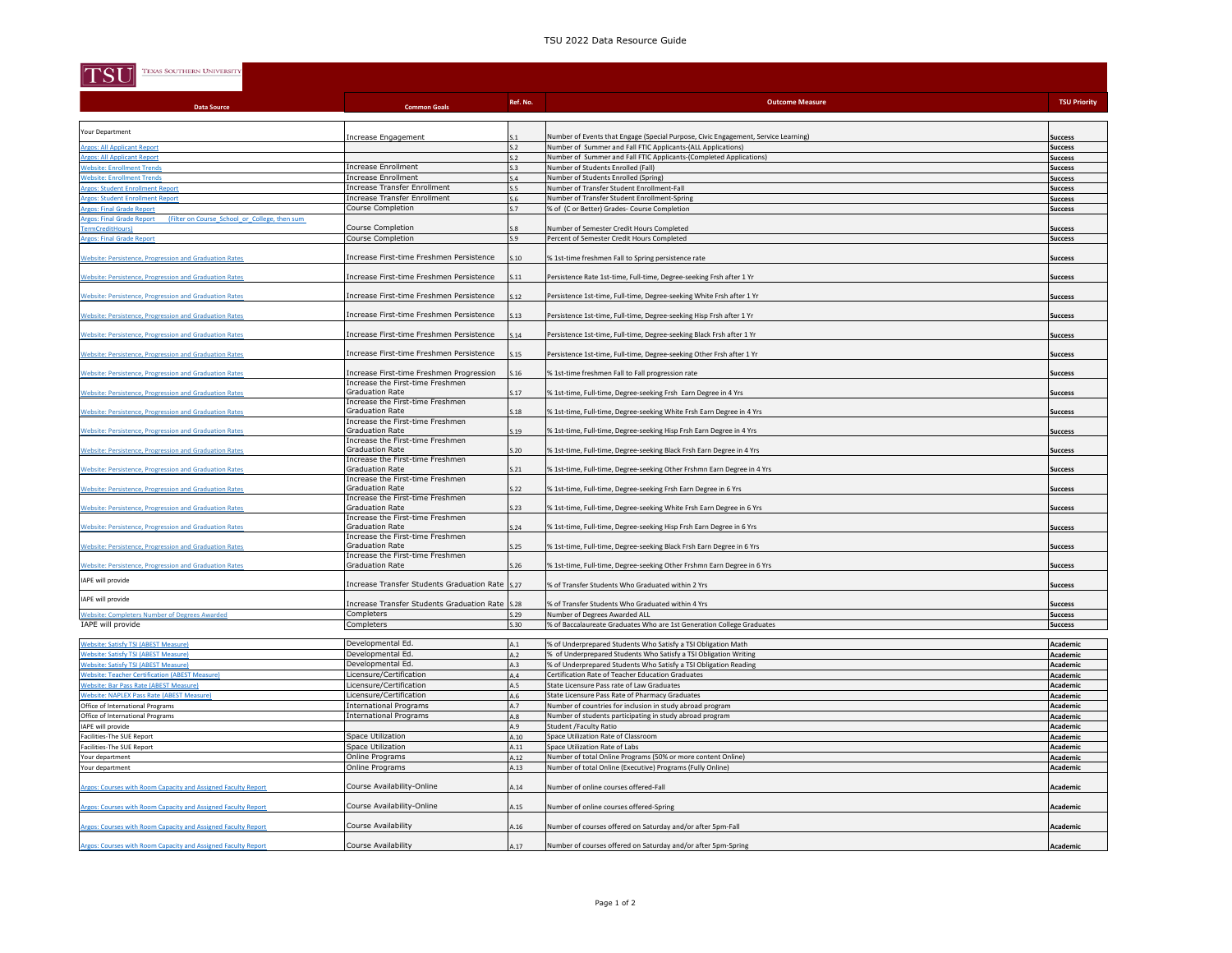## TSU 2022 Data Resource Guide

| TEXAS SOUTHERN UNIVERSITY<br>$ \mathrm{TSI} $                                                                                  |                                                                                                |            |                                                                                                                                    |                                  |
|--------------------------------------------------------------------------------------------------------------------------------|------------------------------------------------------------------------------------------------|------------|------------------------------------------------------------------------------------------------------------------------------------|----------------------------------|
| <b>Data Source</b>                                                                                                             | <b>Common Goals</b>                                                                            | Ref. No.   | <b>Outcome Measure</b>                                                                                                             | <b>TSU Priority</b>              |
| Your Department                                                                                                                |                                                                                                |            |                                                                                                                                    |                                  |
|                                                                                                                                | Increase Engagement                                                                            | S.1        | Number of Events that Engage (Special Purpose, Civic Engagement, Service Learning)                                                 | Success                          |
| <b>Argos: All Applicant Report</b><br><b>Argos: All Applicant Report</b>                                                       |                                                                                                | S.2        | Number of Summer and Fall FTIC Applicants-(ALL Applications)<br>Number of Summer and Fall FTIC Applicants-(Completed Applications) | <b>Success</b>                   |
| <b>Website: Enrollment Trends</b>                                                                                              | <b>Increase Enrollment</b>                                                                     | S.2<br>S.3 | Number of Students Enrolled (Fall)                                                                                                 | <b>Success</b><br><b>Success</b> |
| <b>Website: Enrollment Trends</b>                                                                                              | <b>Increase Enrollment</b>                                                                     | S.4        | Number of Students Enrolled (Spring)                                                                                               | <b>Success</b>                   |
| <b>Argos: Student Enrollment Repor</b>                                                                                         | Increase Transfer Enrollment                                                                   | S.5        | Number of Transfer Student Enrollment-Fall                                                                                         | <b>Success</b>                   |
| <b>Argos: Student Enrollment Report</b>                                                                                        | Increase Transfer Enrollment                                                                   | S.6        | Number of Transfer Student Enrollment-Spring                                                                                       | <b>Success</b>                   |
| <b>Argos: Final Grade Report</b><br>Argos: Final Grade Report (Filter on Course School or College, then sum                    | Course Completion                                                                              | S.7        | % of (C or Better) Grades- Course Completion                                                                                       | <b>Success</b>                   |
| TermCreditHours)                                                                                                               | Course Completion                                                                              |            | Number of Semester Credit Hours Completed                                                                                          | <b>Success</b>                   |
| <b>Argos: Final Grade Report</b>                                                                                               | <b>Course Completion</b>                                                                       | S.9        | Percent of Semester Credit Hours Completed                                                                                         | <b>Success</b>                   |
| <b>Website: Persistence, Progression and Graduation Rates</b>                                                                  | Increase First-time Freshmen Persistence                                                       | S.10       | % 1st-time freshmen Fall to Spring persistence rate                                                                                | <b>Success</b>                   |
| <b>Website: Persistence, Progression and Graduation Rates</b>                                                                  | Increase First-time Freshmen Persistence                                                       | S.11       | Persistence Rate 1st-time, Full-time, Degree-seeking Frsh after 1 Yr                                                               | Success                          |
| <b>Website: Persistence, Progression and Graduation Rates</b>                                                                  | Increase First-time Freshmen Persistence                                                       | S.12       | Persistence 1st-time, Full-time, Degree-seeking White Frsh after 1 Yr                                                              | <b>Success</b>                   |
| <b>Website: Persistence, Progression and Graduation Rates</b>                                                                  | Increase First-time Freshmen Persistence                                                       | S.13       | Persistence 1st-time, Full-time, Degree-seeking Hisp Frsh after 1 Yr                                                               | <b>Success</b>                   |
| <b>Website: Persistence, Progression and Graduation Rates</b>                                                                  | Increase First-time Freshmen Persistence                                                       | S.14       | Persistence 1st-time, Full-time, Degree-seeking Black Frsh after 1 Yr                                                              | <b>Success</b>                   |
| <b>Website: Persistence, Progression and Graduation Rates</b>                                                                  | Increase First-time Freshmen Persistence                                                       | S.15       | Persistence 1st-time, Full-time, Degree-seeking Other Frsh after 1 Yr                                                              | <b>Success</b>                   |
| <b>Website: Persistence, Progression and Graduation Rates</b>                                                                  | Increase First-time Freshmen Progression<br>Increase the First-time Freshmen                   | S.16       | % 1st-time freshmen Fall to Fall progression rate                                                                                  | <b>Success</b>                   |
| <b>Website: Persistence, Progression and Graduation Rates</b>                                                                  | <b>Graduation Rate</b>                                                                         | S.17       | % 1st-time, Full-time, Degree-seeking Frsh Earn Degree in 4 Yrs                                                                    | <b>Success</b>                   |
| <b>Website: Persistence, Progression and Graduation Rates</b>                                                                  | Increase the First-time Freshmen<br><b>Graduation Rate</b><br>Increase the First-time Freshmen | S.18       | % 1st-time, Full-time, Degree-seeking White Frsh Earn Degree in 4 Yrs                                                              | <b>Success</b>                   |
| <b>Website: Persistence, Progression and Graduation Rates</b>                                                                  | <b>Graduation Rate</b><br>Increase the First-time Freshmen                                     | S.19       | % 1st-time, Full-time, Degree-seeking Hisp Frsh Earn Degree in 4 Yrs                                                               | <b>Success</b>                   |
| <b>Website: Persistence, Progression and Graduation Rates</b>                                                                  | <b>Graduation Rate</b><br>Increase the First-time Freshmen                                     | S.20       | % 1st-time, Full-time, Degree-seeking Black Frsh Earn Degree in 4 Yrs                                                              | <b>Success</b>                   |
| <b>Website: Persistence, Progression and Graduation Rates</b>                                                                  | <b>Graduation Rate</b><br>Increase the First-time Freshmen                                     | S.21       | % 1st-time, Full-time, Degree-seeking Other Frshmn Earn Degree in 4 Yrs                                                            | <b>Success</b>                   |
| <b>Website: Persistence, Progression and Graduation Rates</b>                                                                  | <b>Graduation Rate</b><br>Increase the First-time Freshmen                                     | S.22       | % 1st-time, Full-time, Degree-seeking Frsh Earn Degree in 6 Yrs                                                                    | <b>Success</b>                   |
| <b>Website: Persistence, Progression and Graduation Rates</b>                                                                  | <b>Graduation Rate</b><br>Increase the First-time Freshmen                                     | S.23       | % 1st-time, Full-time, Degree-seeking White Frsh Earn Degree in 6 Yrs                                                              | <b>Success</b>                   |
| <b>Website: Persistence, Progression and Graduation Rates</b>                                                                  | <b>Graduation Rate</b><br>Increase the First-time Freshmen                                     | S.24       | % 1st-time, Full-time, Degree-seeking Hisp Frsh Earn Degree in 6 Yrs                                                               | <b>Success</b>                   |
| <b>Website: Persistence, Progression and Graduation Rates</b>                                                                  | <b>Graduation Rate</b><br>Increase the First-time Freshmen                                     | S.25       | % 1st-time, Full-time, Degree-seeking Black Frsh Earn Degree in 6 Yrs                                                              | <b>Success</b>                   |
| <b>Website: Persistence, Progression and Graduation Rates</b>                                                                  | <b>Graduation Rate</b>                                                                         | S.26       | % 1st-time, Full-time, Degree-seeking Other Frshmn Earn Degree in 6 Yrs                                                            | <b>Success</b>                   |
| IAPE will provide                                                                                                              | Increase Transfer Students Graduation Rate 5.27                                                |            | % of Transfer Students Who Graduated within 2 Yrs                                                                                  | <b>Success</b>                   |
| IAPE will provide                                                                                                              | Increase Transfer Students Graduation Rate                                                     | S.28       | % of Transfer Students Who Graduated within 4 Yrs                                                                                  | <b>Success</b>                   |
| <b>Website: Completers Number of Degrees Awarded</b>                                                                           | Completers                                                                                     | S.29       | Number of Degrees Awarded ALL                                                                                                      | <b>Success</b>                   |
| IAPE will provide                                                                                                              | Completers                                                                                     | S.30       | % of Baccalaureate Graduates Who are 1st Generation College Graduates                                                              | <b>Success</b>                   |
| <b>Website: Satisfy TSI (ABEST Measure)</b>                                                                                    | Developmental Ed.                                                                              | A.1        | % of Underprepared Students Who Satisfy a TSI Obligation Math                                                                      | Academic                         |
| <b>Website: Satisfy TSI (ABEST Measure)</b>                                                                                    | Developmental Ed.                                                                              | A.2        | % of Underprepared Students Who Satisfy a TSI Obligation Writing                                                                   | Academic                         |
| <b>Website: Satisfy TSI (ABEST Measure)</b>                                                                                    | Developmental Ed.                                                                              | A.3        | % of Underprepared Students Who Satisfy a TSI Obligation Reading                                                                   | Academic                         |
| <b>Website: Teacher Certification (ABEST Measure)</b>                                                                          | Licensure/Certification                                                                        | A.4        | Certification Rate of Teacher Education Graduates                                                                                  | Academic                         |
| <b>Website: Bar Pass Rate (ABEST Measure)</b>                                                                                  | Licensure/Certification                                                                        | A.5        | State Licensure Pass rate of Law Graduates                                                                                         | Academic                         |
| Website: NAPLEX Pass Rate (ABEST Measure)                                                                                      | Licensure/Certification                                                                        | A.6        | State Licensure Pass Rate of Pharmacy Graduates                                                                                    | Academic                         |
| Office of International Programs<br>Office of International Programs                                                           | <b>International Programs</b><br><b>International Programs</b>                                 | A.7<br>A.8 | Number of countries for inclusion in study abroad program                                                                          | Academic<br><b>Academic</b>      |
| IAPE will provide                                                                                                              |                                                                                                | A.9        | Number of students participating in study abroad program<br><b>Student /Faculty Ratio</b>                                          | <b>Academic</b>                  |
| Facilities-The SUE Report                                                                                                      | Space Utilization                                                                              | A.10       | Space Utilization Rate of Classroom                                                                                                | Academic                         |
| Facilities-The SUE Report                                                                                                      | Space Utilization                                                                              | A.11       | Space Utilization Rate of Labs                                                                                                     | Academic                         |
| Your department                                                                                                                | Online Programs                                                                                | A.12       | Number of total Online Programs (50% or more content Online)                                                                       | <b>Academic</b>                  |
| Your department                                                                                                                | Online Programs                                                                                | A.13       | Number of total Online (Executive) Programs (Fully Online)                                                                         | Academic                         |
| Argos: Courses with Room Capacity and Assigned Faculty Report                                                                  | Course Availability-Online                                                                     | A.14       | Number of online courses offered-Fall                                                                                              | Academic                         |
| Argos: Courses with Room Capacity and Assigned Faculty Report                                                                  | Course Availability-Online                                                                     | A.15       | Number of online courses offered-Spring                                                                                            | Academic                         |
| Argos: Courses with Room Capacity and Assigned Faculty Report<br>Argos: Courses with Room Capacity and Assigned Faculty Report | Course Availability                                                                            | A.16       | Number of courses offered on Saturday and/or after 5pm-Fall                                                                        | Academic                         |
|                                                                                                                                | Course Availability                                                                            | A.17       | Number of courses offered on Saturday and/or after 5pm-Spring                                                                      | Academic                         |